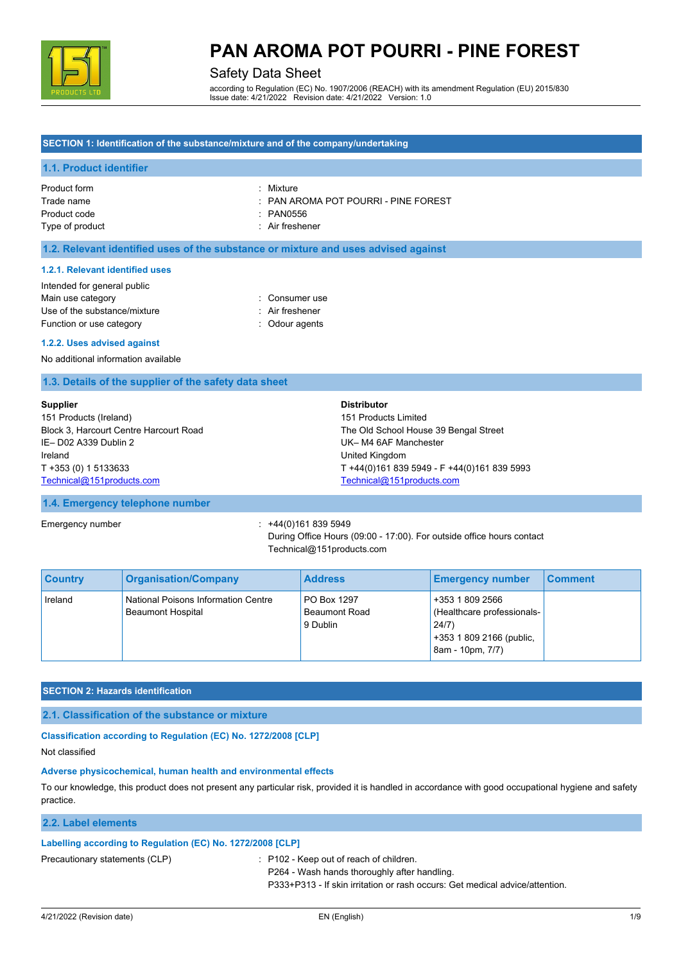

### Safety Data Sheet

according to Regulation (EC) No. 1907/2006 (REACH) with its amendment Regulation (EU) 2015/830 Issue date: 4/21/2022 Revision date: 4/21/2022 Version: 1.0

#### **SECTION 1: Identification of the substance/mixture and of the company/undertaking**

#### **1.1. Product identifier**

Product form : Nixture : Mixture Product code : PAN0556 Type of product in the set of the set of the set of the set of the set of the set of the set of the set of the set of the set of the set of the set of the set of the set of the set of the set of the set of the set of the s

- Trade name : PAN AROMA POT POURRI PINE FOREST
	-
	-

#### **1.2. Relevant identified uses of the substance or mixture and uses advised against**

#### **1.2.1. Relevant identified uses**

| Intended for general public  |                 |
|------------------------------|-----------------|
| Main use category            | : Consumer use  |
| Use of the substance/mixture | : Air freshener |
| Function or use category     | : Odour agents  |

#### **1.2.2. Uses advised against**

No additional information available

#### **1.3. Details of the supplier of the safety data sheet**

| <b>Supplier</b>                        | <b>Distributor</b>                          |
|----------------------------------------|---------------------------------------------|
| 151 Products (Ireland)                 | 151 Products Limited                        |
| Block 3, Harcourt Centre Harcourt Road | The Old School House 39 Bengal Street       |
| IE-D02 A339 Dublin 2                   | UK-M4 6AF Manchester                        |
| Ireland                                | United Kingdom                              |
| T +353 (0) 1 5133633                   | T +44(0)161 839 5949 - F +44(0)161 839 5993 |
| Technical@151products.com              | Technical@151products.com                   |

#### **1.4. Emergency telephone number**

Emergency number : +44(0)161 839 5949

During Office Hours (09:00 - 17:00). For outside office hours contact Technical@151products.com

| <b>Country</b> | <b>Organisation/Company</b>                                     | <b>Address</b>                                  | <b>Emergency number</b>                                                                                | <b>Comment</b> |
|----------------|-----------------------------------------------------------------|-------------------------------------------------|--------------------------------------------------------------------------------------------------------|----------------|
| Ireland        | National Poisons Information Centre<br><b>Beaumont Hospital</b> | PO Box 1297<br><b>Beaumont Road</b><br>9 Dublin | +353 1 809 2566<br>(Healthcare professionals-<br>24/7)<br>+353 1 809 2166 (public,<br>8am - 10pm, 7/7) |                |

#### **SECTION 2: Hazards identification**

#### **2.1. Classification of the substance or mixture**

#### **Classification according to Regulation (EC) No. 1272/2008 [CLP]**

Not classified

#### **Adverse physicochemical, human health and environmental effects**

To our knowledge, this product does not present any particular risk, provided it is handled in accordance with good occupational hygiene and safety practice.

#### **2.2. Label elements**

#### **Labelling according to Regulation (EC) No. 1272/2008 [CLP]**

Precautionary statements (CLP) : P102 - Keep out of reach of children.

P264 - Wash hands thoroughly after handling.

P333+P313 - If skin irritation or rash occurs: Get medical advice/attention.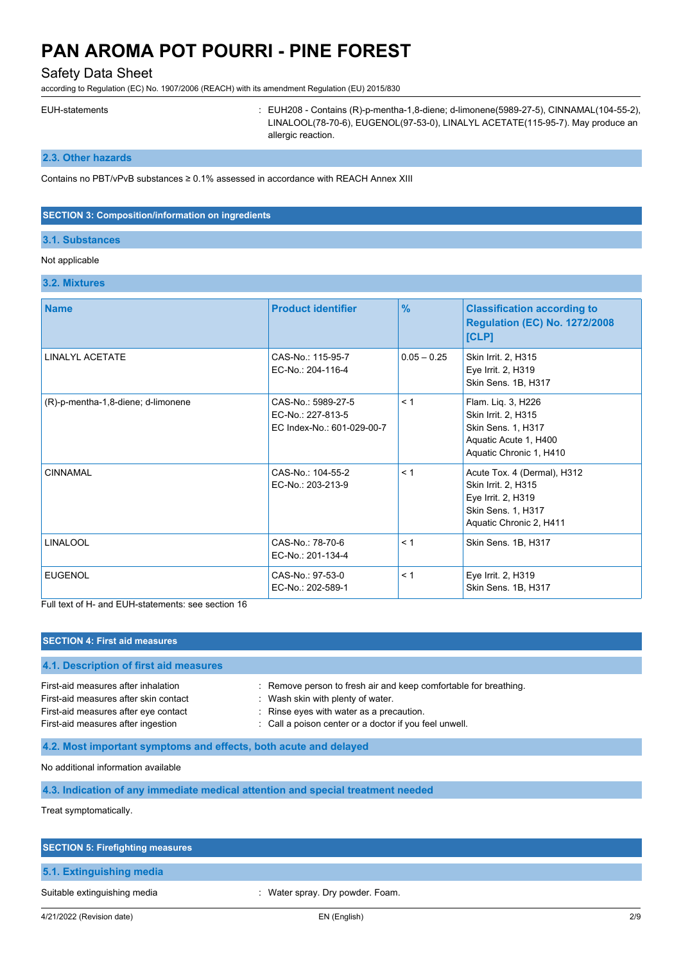### Safety Data Sheet

according to Regulation (EC) No. 1907/2006 (REACH) with its amendment Regulation (EU) 2015/830

EUH-statements : EUH208 - Contains (R)-p-mentha-1,8-diene; d-limonene(5989-27-5), CINNAMAL(104-55-2), LINALOOL(78-70-6), EUGENOL(97-53-0), LINALYL ACETATE(115-95-7). May produce an allergic reaction.

### **2.3. Other hazards**

Contains no PBT/vPvB substances ≥ 0.1% assessed in accordance with REACH Annex XIII

#### **SECTION 3: Composition/information on ingredients**

#### **3.1. Substances**

### Not applicable

#### **3.2. Mixtures**

| <b>Name</b>                        | <b>Product identifier</b>                                             | $\frac{9}{6}$ | <b>Classification according to</b><br><b>Regulation (EC) No. 1272/2008</b><br>[CLP]                                       |
|------------------------------------|-----------------------------------------------------------------------|---------------|---------------------------------------------------------------------------------------------------------------------------|
| <b>LINALYL ACETATE</b>             | CAS-No.: 115-95-7<br>EC-No.: 204-116-4                                | $0.05 - 0.25$ | Skin Irrit. 2, H315<br>Eye Irrit. 2, H319<br>Skin Sens. 1B, H317                                                          |
| (R)-p-mentha-1,8-diene; d-limonene | CAS-No.: 5989-27-5<br>EC-No.: 227-813-5<br>EC Index-No.: 601-029-00-7 | < 1           | Flam. Liq. 3, H226<br>Skin Irrit. 2, H315<br>Skin Sens. 1, H317<br>Aquatic Acute 1, H400<br>Aquatic Chronic 1, H410       |
| <b>CINNAMAL</b>                    | CAS-No.: 104-55-2<br>EC-No.: 203-213-9                                | < 1           | Acute Tox. 4 (Dermal), H312<br>Skin Irrit. 2, H315<br>Eye Irrit. 2, H319<br>Skin Sens. 1, H317<br>Aquatic Chronic 2, H411 |
| <b>LINALOOL</b>                    | CAS-No.: 78-70-6<br>EC-No.: 201-134-4                                 | < 1           | Skin Sens. 1B, H317                                                                                                       |
| <b>EUGENOL</b>                     | CAS-No.: 97-53-0<br>EC-No.: 202-589-1                                 | < 1           | Eye Irrit. 2, H319<br>Skin Sens. 1B, H317                                                                                 |

Full text of H- and EUH-statements: see section 16

| <b>SECTION 4: First aid measures</b>                                                                                                                       |                                                                                                                                                                                                             |  |
|------------------------------------------------------------------------------------------------------------------------------------------------------------|-------------------------------------------------------------------------------------------------------------------------------------------------------------------------------------------------------------|--|
| 4.1. Description of first aid measures                                                                                                                     |                                                                                                                                                                                                             |  |
| First-aid measures after inhalation<br>First-aid measures after skin contact<br>First-aid measures after eye contact<br>First-aid measures after ingestion | : Remove person to fresh air and keep comfortable for breathing.<br>: Wash skin with plenty of water.<br>: Rinse eyes with water as a precaution.<br>: Call a poison center or a doctor if you feel unwell. |  |
| 4.2. Most important symptoms and effects, both acute and delayed                                                                                           |                                                                                                                                                                                                             |  |
| No additional information available                                                                                                                        |                                                                                                                                                                                                             |  |
| 4.3. Indication of any immediate medical attention and special treatment needed                                                                            |                                                                                                                                                                                                             |  |
| Treat symptomatically.                                                                                                                                     |                                                                                                                                                                                                             |  |

# **SECTION 5: Firefighting measures 5.1. Extinguishing media** Suitable extinguishing media **interpretent of the Community Community** Mater spray. Dry powder. Foam.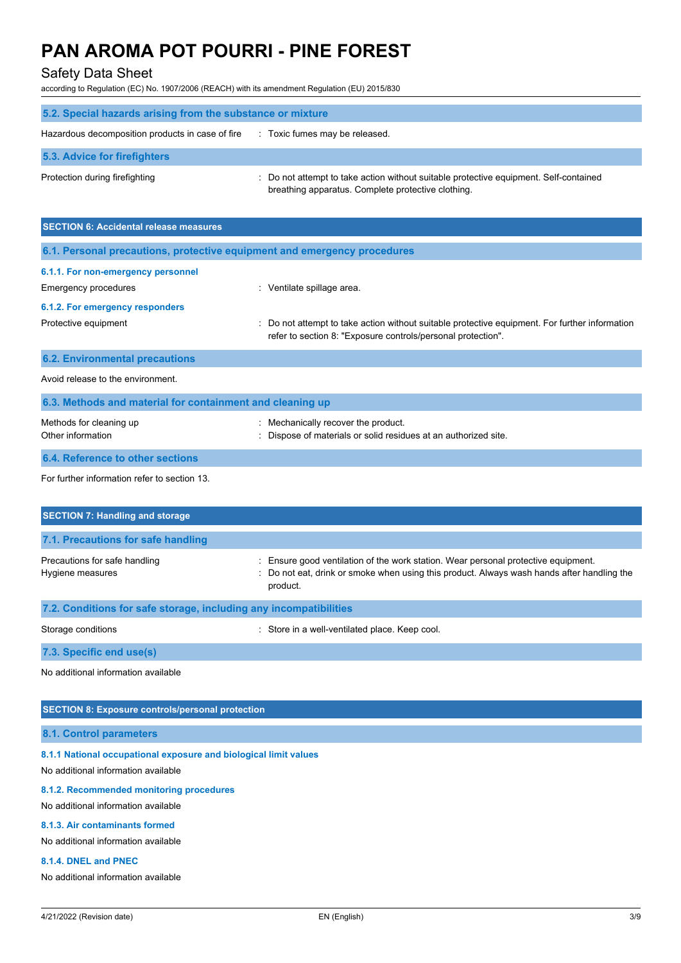## Safety Data Sheet

according to Regulation (EC) No. 1907/2006 (REACH) with its amendment Regulation (EU) 2015/830

| 5.2. Special hazards arising from the substance or mixture                         |                                                                                                                                             |  |
|------------------------------------------------------------------------------------|---------------------------------------------------------------------------------------------------------------------------------------------|--|
| Hazardous decomposition products in case of fire<br>: Toxic fumes may be released. |                                                                                                                                             |  |
| 5.3. Advice for firefighters                                                       |                                                                                                                                             |  |
| Protection during firefighting                                                     | : Do not attempt to take action without suitable protective equipment. Self-contained<br>breathing apparatus. Complete protective clothing. |  |

| <b>SECTION 6: Accidental release measures</b>                            |                                                                                                                                                                |  |
|--------------------------------------------------------------------------|----------------------------------------------------------------------------------------------------------------------------------------------------------------|--|
| 6.1. Personal precautions, protective equipment and emergency procedures |                                                                                                                                                                |  |
| 6.1.1. For non-emergency personnel                                       |                                                                                                                                                                |  |
| <b>Emergency procedures</b>                                              | : Ventilate spillage area.                                                                                                                                     |  |
| 6.1.2. For emergency responders                                          |                                                                                                                                                                |  |
| Protective equipment                                                     | : Do not attempt to take action without suitable protective equipment. For further information<br>refer to section 8: "Exposure controls/personal protection". |  |
| <b>6.2. Environmental precautions</b>                                    |                                                                                                                                                                |  |
| Avoid release to the environment.                                        |                                                                                                                                                                |  |
| 6.3. Methods and material for containment and cleaning up                |                                                                                                                                                                |  |
| Methods for cleaning up<br>Other information                             | : Mechanically recover the product.<br>: Dispose of materials or solid residues at an authorized site.                                                         |  |
| 6.4. Reference to other sections                                         |                                                                                                                                                                |  |

For further information refer to section 13.

| <b>SECTION 7: Handling and storage</b>                            |                                                                                                                                                                                              |  |
|-------------------------------------------------------------------|----------------------------------------------------------------------------------------------------------------------------------------------------------------------------------------------|--|
| 7.1. Precautions for safe handling                                |                                                                                                                                                                                              |  |
| Precautions for safe handling<br>Hygiene measures                 | : Ensure good ventilation of the work station. Wear personal protective equipment.<br>: Do not eat, drink or smoke when using this product. Always wash hands after handling the<br>product. |  |
| 7.2. Conditions for safe storage, including any incompatibilities |                                                                                                                                                                                              |  |
| Storage conditions                                                | Store in a well-ventilated place. Keep cool.                                                                                                                                                 |  |

**7.3. Specific end use(s)**

No additional information available

### **SECTION 8: Exposure controls/personal protection**

**8.1. Control parameters**

**8.1.1 National occupational exposure and biological limit values**

No additional information available

#### **8.1.2. Recommended monitoring procedures**

No additional information available

#### **8.1.3. Air contaminants formed**

No additional information available

#### **8.1.4. DNEL and PNEC**

No additional information available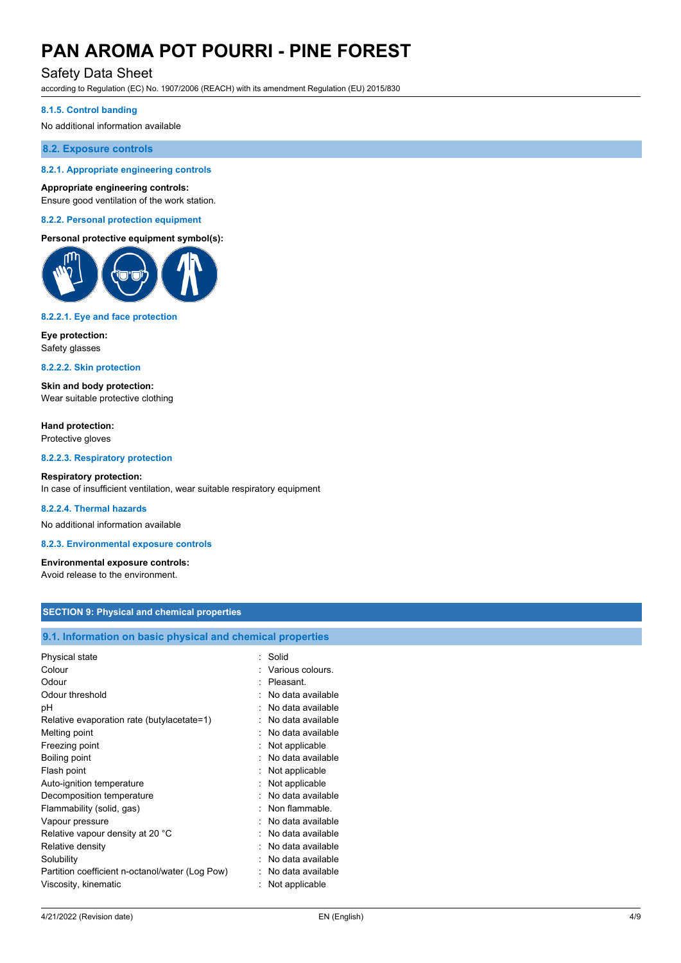### Safety Data Sheet

according to Regulation (EC) No. 1907/2006 (REACH) with its amendment Regulation (EU) 2015/830

#### **8.1.5. Control banding**

No additional information available

#### **8.2. Exposure controls**

#### **8.2.1. Appropriate engineering controls**

#### **Appropriate engineering controls:**

Ensure good ventilation of the work station.

#### **8.2.2. Personal protection equipment**

#### **Personal protective equipment symbol(s):**



#### **8.2.2.1. Eye and face protection**

**Eye protection:** Safety glasses

#### **8.2.2.2. Skin protection**

**Skin and body protection:** Wear suitable protective clothing

**Hand protection:** Protective gloves

**8.2.2.3. Respiratory protection**

#### **Respiratory protection:** In case of insufficient ventilation, wear suitable respiratory equipment

#### **8.2.2.4. Thermal hazards**

No additional information available

**8.2.3. Environmental exposure controls**

### **Environmental exposure controls:**

Avoid release to the environment.

#### **SECTION 9: Physical and chemical properties**

#### **9.1. Information on basic physical and chemical properties**

| Physical state                                  | Solid             |
|-------------------------------------------------|-------------------|
| Colour                                          | Various colours.  |
| Odour                                           | Pleasant.         |
| Odour threshold                                 | No data available |
| рH                                              | No data available |
| Relative evaporation rate (butylacetate=1)      | No data available |
| Melting point                                   | No data available |
| Freezing point                                  | Not applicable    |
| Boiling point                                   | No data available |
| Flash point                                     | Not applicable    |
| Auto-ignition temperature                       | Not applicable    |
| Decomposition temperature                       | No data available |
| Flammability (solid, gas)                       | Non flammable.    |
| Vapour pressure                                 | No data available |
| Relative vapour density at 20 °C                | No data available |
| Relative density                                | No data available |
| Solubility                                      | No data available |
| Partition coefficient n-octanol/water (Log Pow) | No data available |
| Viscosity, kinematic                            | Not applicable    |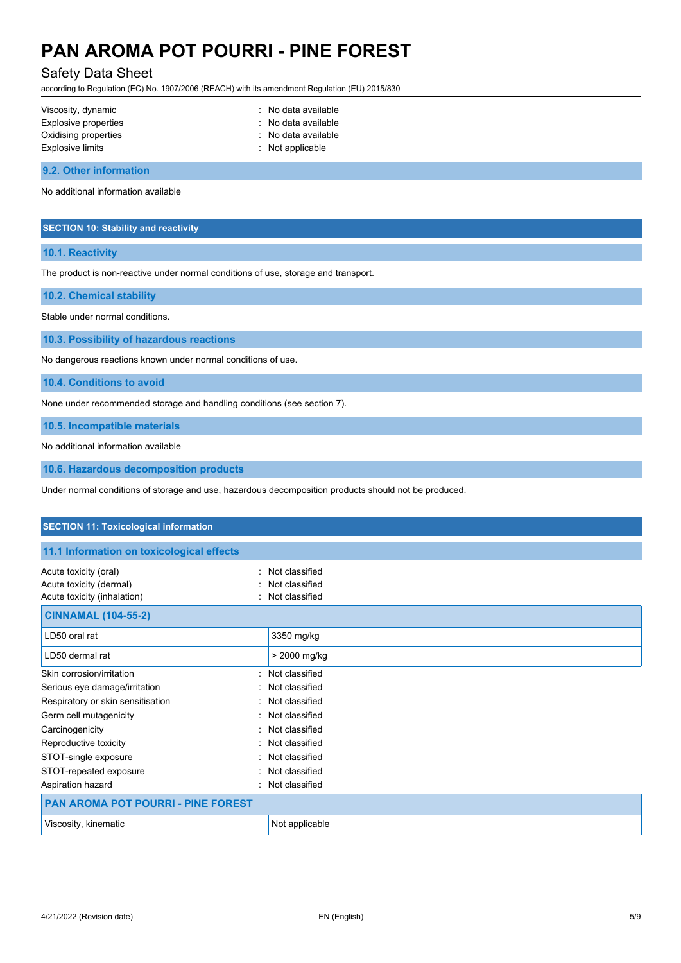### Safety Data Sheet

according to Regulation (EC) No. 1907/2006 (REACH) with its amendment Regulation (EU) 2015/830

| Viscosity, dynamic   | : No data available         |
|----------------------|-----------------------------|
| Explosive properties | : No data available         |
| Oxidising properties | : No data available         |
| Explosive limits     | $\therefore$ Not applicable |
|                      |                             |

**9.2. Other information**

No additional information available

#### **SECTION 10: Stability and reactivity**

#### **10.1. Reactivity**

The product is non-reactive under normal conditions of use, storage and transport.

**10.2. Chemical stability**

Stable under normal conditions.

**10.3. Possibility of hazardous reactions**

No dangerous reactions known under normal conditions of use.

**10.4. Conditions to avoid**

None under recommended storage and handling conditions (see section 7).

**10.5. Incompatible materials**

No additional information available

**10.6. Hazardous decomposition products**

Under normal conditions of storage and use, hazardous decomposition products should not be produced.

| <b>SECTION 11: Toxicological information</b>                                                              |                                                    |  |
|-----------------------------------------------------------------------------------------------------------|----------------------------------------------------|--|
| 11.1 Information on toxicological effects                                                                 |                                                    |  |
| Acute toxicity (oral)<br>$\bullet$<br>Acute toxicity (dermal)<br>Acute toxicity (inhalation)<br>$\bullet$ | Not classified<br>Not classified<br>Not classified |  |
| <b>CINNAMAL (104-55-2)</b>                                                                                |                                                    |  |
| LD50 oral rat                                                                                             | 3350 mg/kg                                         |  |
| LD50 dermal rat                                                                                           | > 2000 mg/kg                                       |  |
| Skin corrosion/irritation                                                                                 | : Not classified                                   |  |
| Serious eye damage/irritation<br>$\sim$                                                                   | Not classified                                     |  |
| Respiratory or skin sensitisation                                                                         | Not classified                                     |  |
| Germ cell mutagenicity                                                                                    | : Not classified                                   |  |
| Carcinogenicity<br>٠.                                                                                     | Not classified                                     |  |
| Reproductive toxicity<br>$\sim$                                                                           | Not classified                                     |  |
| STOT-single exposure                                                                                      | Not classified                                     |  |
| STOT-repeated exposure                                                                                    | Not classified                                     |  |
| Aspiration hazard<br>$\bullet$                                                                            | Not classified                                     |  |
| <b>PAN AROMA POT POURRI - PINE FOREST</b>                                                                 |                                                    |  |
| Viscosity, kinematic                                                                                      | Not applicable                                     |  |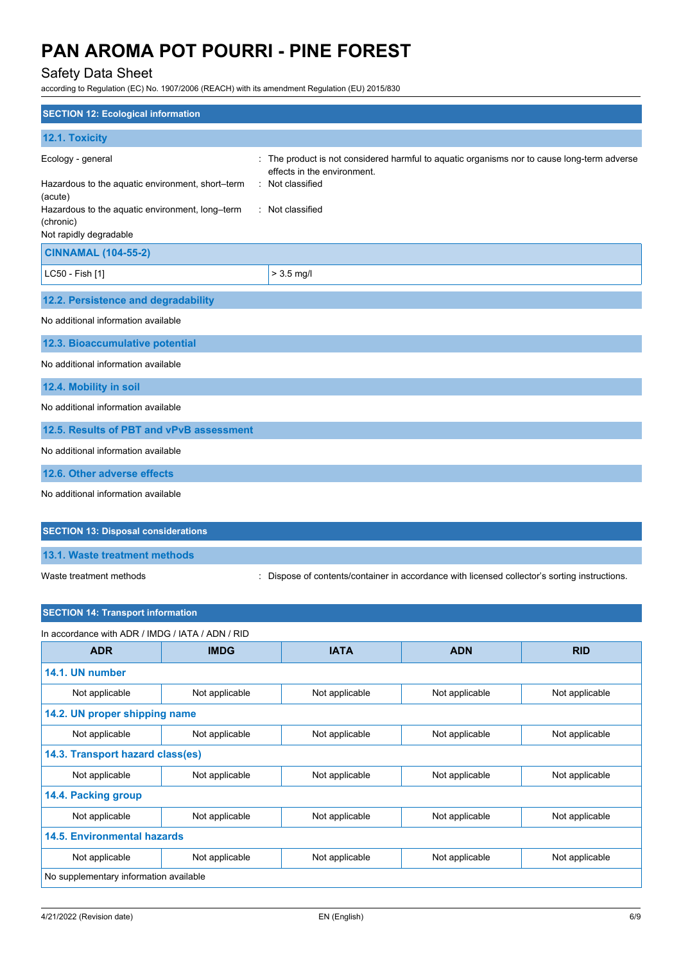## Safety Data Sheet

according to Regulation (EC) No. 1907/2006 (REACH) with its amendment Regulation (EU) 2015/830

| <b>SECTION 12: Ecological information</b>                                                                                                                                  |                                                                                                                                                                    |
|----------------------------------------------------------------------------------------------------------------------------------------------------------------------------|--------------------------------------------------------------------------------------------------------------------------------------------------------------------|
| 12.1. Toxicity                                                                                                                                                             |                                                                                                                                                                    |
| Ecology - general<br>Hazardous to the aquatic environment, short-term<br>(acute)<br>Hazardous to the aquatic environment, long-term<br>(chronic)<br>Not rapidly degradable | : The product is not considered harmful to aquatic organisms nor to cause long-term adverse<br>effects in the environment.<br>: Not classified<br>: Not classified |
| <b>CINNAMAL (104-55-2)</b>                                                                                                                                                 |                                                                                                                                                                    |
| LC50 - Fish [1]                                                                                                                                                            | $> 3.5$ mg/l                                                                                                                                                       |
| 12.2. Persistence and degradability                                                                                                                                        |                                                                                                                                                                    |
| No additional information available                                                                                                                                        |                                                                                                                                                                    |
| 12.3. Bioaccumulative potential                                                                                                                                            |                                                                                                                                                                    |
| No additional information available                                                                                                                                        |                                                                                                                                                                    |
| 12.4. Mobility in soil                                                                                                                                                     |                                                                                                                                                                    |
| No additional information available                                                                                                                                        |                                                                                                                                                                    |
| 12.5. Results of PBT and vPvB assessment                                                                                                                                   |                                                                                                                                                                    |
| No additional information available                                                                                                                                        |                                                                                                                                                                    |
| 12.6. Other adverse effects                                                                                                                                                |                                                                                                                                                                    |
| No additional information available                                                                                                                                        |                                                                                                                                                                    |
| <b>SECTION 13: Disposal considerations</b>                                                                                                                                 |                                                                                                                                                                    |
| 13.1. Waste treatment methods                                                                                                                                              |                                                                                                                                                                    |

Waste treatment methods : Dispose of contents/container in accordance with licensed collector's sorting instructions.

| In accordance with ADR / IMDG / IATA / ADN / RID |                |                |                |                |
|--------------------------------------------------|----------------|----------------|----------------|----------------|
| <b>ADR</b>                                       | <b>IMDG</b>    | <b>IATA</b>    | <b>ADN</b>     | <b>RID</b>     |
| 14.1. UN number                                  |                |                |                |                |
| Not applicable                                   | Not applicable | Not applicable | Not applicable | Not applicable |
| 14.2. UN proper shipping name                    |                |                |                |                |
| Not applicable                                   | Not applicable | Not applicable | Not applicable | Not applicable |
| 14.3. Transport hazard class(es)                 |                |                |                |                |
| Not applicable                                   | Not applicable | Not applicable | Not applicable | Not applicable |
| 14.4. Packing group                              |                |                |                |                |
| Not applicable                                   | Not applicable | Not applicable | Not applicable | Not applicable |
| 14.5. Environmental hazards                      |                |                |                |                |
| Not applicable                                   | Not applicable | Not applicable | Not applicable | Not applicable |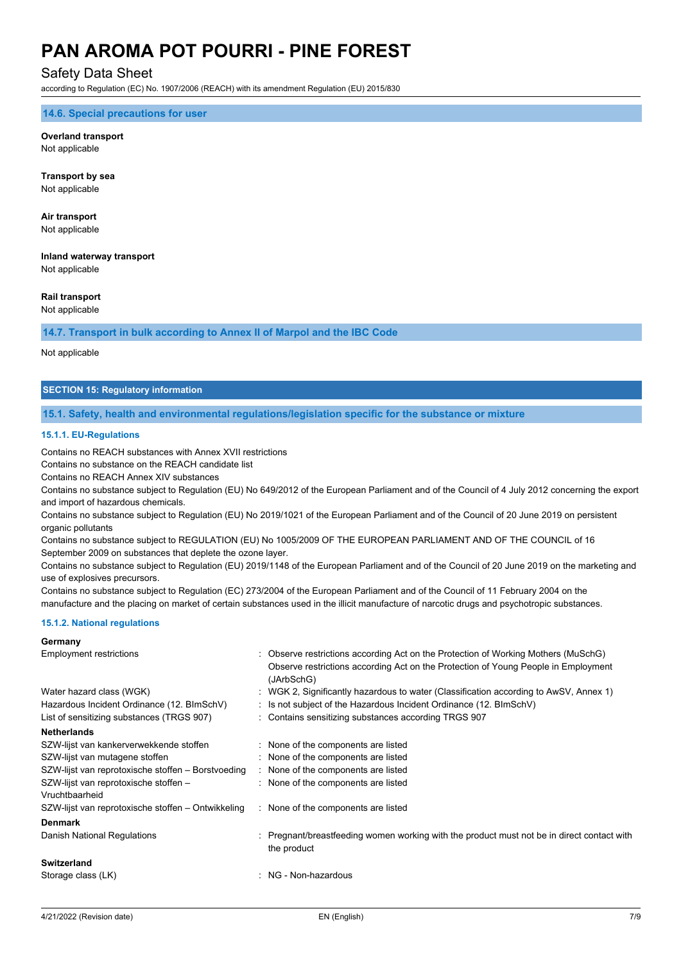### Safety Data Sheet

according to Regulation (EC) No. 1907/2006 (REACH) with its amendment Regulation (EU) 2015/830

**14.6. Special precautions for user**

#### **Overland transport** Not applicable

**Transport by sea** Not applicable

**Air transport** Not applicable

**Inland waterway transport** Not applicable

#### **Rail transport**

Not applicable

#### **14.7. Transport in bulk according to Annex II of Marpol and the IBC Code**

Not applicable

#### **SECTION 15: Regulatory information**

#### **15.1. Safety, health and environmental regulations/legislation specific for the substance or mixture**

#### **15.1.1. EU-Regulations**

Contains no REACH substances with Annex XVII restrictions

Contains no substance on the REACH candidate list

Contains no REACH Annex XIV substances

Contains no substance subject to Regulation (EU) No 649/2012 of the European Parliament and of the Council of 4 July 2012 concerning the export and import of hazardous chemicals.

Contains no substance subject to Regulation (EU) No 2019/1021 of the European Parliament and of the Council of 20 June 2019 on persistent organic pollutants

Contains no substance subject to REGULATION (EU) No 1005/2009 OF THE EUROPEAN PARLIAMENT AND OF THE COUNCIL of 16 September 2009 on substances that deplete the ozone layer.

Contains no substance subject to Regulation (EU) 2019/1148 of the European Parliament and of the Council of 20 June 2019 on the marketing and use of explosives precursors.

Contains no substance subject to Regulation (EC) 273/2004 of the European Parliament and of the Council of 11 February 2004 on the manufacture and the placing on market of certain substances used in the illicit manufacture of narcotic drugs and psychotropic substances.

#### **15.1.2. National regulations**

#### **Germany**

| Employment restrictions                            |  | : Observe restrictions according Act on the Protection of Working Mothers (MuSchG)                      |  |
|----------------------------------------------------|--|---------------------------------------------------------------------------------------------------------|--|
|                                                    |  | Observe restrictions according Act on the Protection of Young People in Employment<br>(JArbSchG)        |  |
| Water hazard class (WGK)                           |  | : WGK 2, Significantly hazardous to water (Classification according to AwSV, Annex 1)                   |  |
| Hazardous Incident Ordinance (12. BImSchV)         |  | : Is not subject of the Hazardous Incident Ordinance (12. BImSchV)                                      |  |
| List of sensitizing substances (TRGS 907)          |  | : Contains sensitizing substances according TRGS 907                                                    |  |
| <b>Netherlands</b>                                 |  |                                                                                                         |  |
| SZW-lijst van kankerverwekkende stoffen            |  | : None of the components are listed                                                                     |  |
| SZW-lijst van mutagene stoffen                     |  | : None of the components are listed                                                                     |  |
| SZW-lijst van reprotoxische stoffen - Borstvoeding |  | None of the components are listed                                                                       |  |
| SZW-lijst van reprotoxische stoffen -              |  | : None of the components are listed                                                                     |  |
| Vruchtbaarheid                                     |  |                                                                                                         |  |
| SZW-lijst van reprotoxische stoffen – Ontwikkeling |  | None of the components are listed                                                                       |  |
| <b>Denmark</b>                                     |  |                                                                                                         |  |
| Danish National Regulations                        |  | Pregnant/breastfeeding women working with the product must not be in direct contact with<br>the product |  |
| <b>Switzerland</b>                                 |  |                                                                                                         |  |
| Storage class (LK)                                 |  | : NG - Non-hazardous                                                                                    |  |
|                                                    |  |                                                                                                         |  |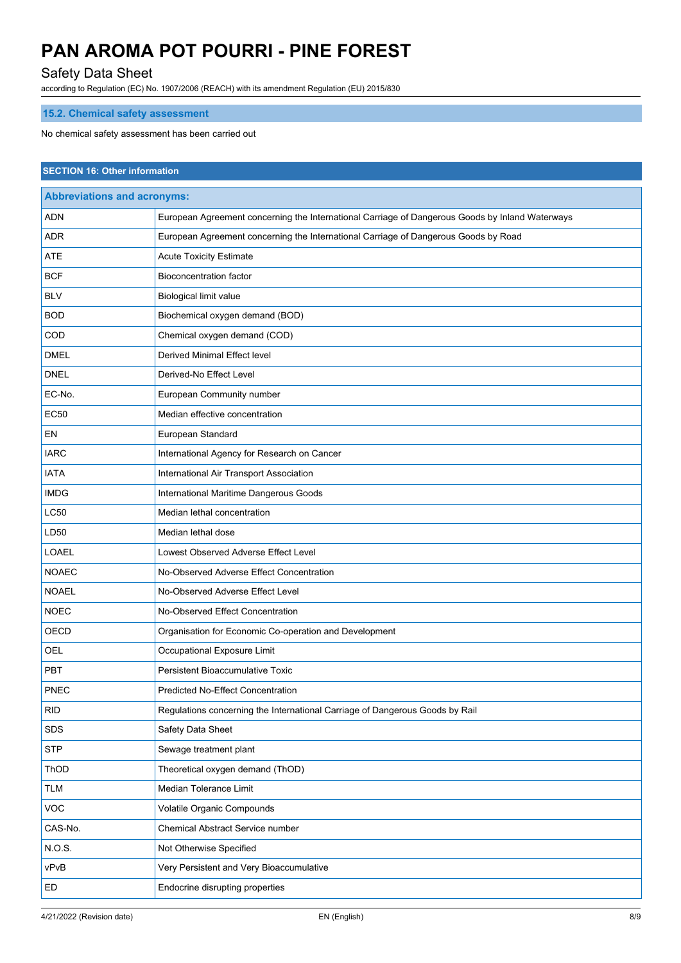## Safety Data Sheet

according to Regulation (EC) No. 1907/2006 (REACH) with its amendment Regulation (EU) 2015/830

## **15.2. Chemical safety assessment**

No chemical safety assessment has been carried out

| <b>SECTION 16: Other information</b> |                                                                                                 |  |  |  |  |
|--------------------------------------|-------------------------------------------------------------------------------------------------|--|--|--|--|
| <b>Abbreviations and acronyms:</b>   |                                                                                                 |  |  |  |  |
| ADN                                  | European Agreement concerning the International Carriage of Dangerous Goods by Inland Waterways |  |  |  |  |
| ADR                                  | European Agreement concerning the International Carriage of Dangerous Goods by Road             |  |  |  |  |
| <b>ATE</b>                           | <b>Acute Toxicity Estimate</b>                                                                  |  |  |  |  |
| <b>BCF</b>                           | <b>Bioconcentration factor</b>                                                                  |  |  |  |  |
| <b>BLV</b>                           | Biological limit value                                                                          |  |  |  |  |
| <b>BOD</b>                           | Biochemical oxygen demand (BOD)                                                                 |  |  |  |  |
| COD                                  | Chemical oxygen demand (COD)                                                                    |  |  |  |  |
| <b>DMEL</b>                          | Derived Minimal Effect level                                                                    |  |  |  |  |
| <b>DNEL</b>                          | Derived-No Effect Level                                                                         |  |  |  |  |
| EC-No.                               | European Community number                                                                       |  |  |  |  |
| <b>EC50</b>                          | Median effective concentration                                                                  |  |  |  |  |
| EN                                   | European Standard                                                                               |  |  |  |  |
| <b>IARC</b>                          | International Agency for Research on Cancer                                                     |  |  |  |  |
| <b>IATA</b>                          | International Air Transport Association                                                         |  |  |  |  |
| <b>IMDG</b>                          | International Maritime Dangerous Goods                                                          |  |  |  |  |
| <b>LC50</b>                          | Median lethal concentration                                                                     |  |  |  |  |
| LD50                                 | Median lethal dose                                                                              |  |  |  |  |
| <b>LOAEL</b>                         | Lowest Observed Adverse Effect Level                                                            |  |  |  |  |
| <b>NOAEC</b>                         | No-Observed Adverse Effect Concentration                                                        |  |  |  |  |
| <b>NOAEL</b>                         | No-Observed Adverse Effect Level                                                                |  |  |  |  |
| <b>NOEC</b>                          | No-Observed Effect Concentration                                                                |  |  |  |  |
| OECD                                 | Organisation for Economic Co-operation and Development                                          |  |  |  |  |
| OEL                                  | Occupational Exposure Limit                                                                     |  |  |  |  |
| PBT                                  | Persistent Bioaccumulative Toxic                                                                |  |  |  |  |
| PNEC                                 | <b>Predicted No-Effect Concentration</b>                                                        |  |  |  |  |
| <b>RID</b>                           | Regulations concerning the International Carriage of Dangerous Goods by Rail                    |  |  |  |  |
| <b>SDS</b>                           | Safety Data Sheet                                                                               |  |  |  |  |
| <b>STP</b>                           | Sewage treatment plant                                                                          |  |  |  |  |
| ThOD                                 | Theoretical oxygen demand (ThOD)                                                                |  |  |  |  |
| <b>TLM</b>                           | Median Tolerance Limit                                                                          |  |  |  |  |
| VOC                                  | Volatile Organic Compounds                                                                      |  |  |  |  |
| CAS-No.                              | Chemical Abstract Service number                                                                |  |  |  |  |
| N.O.S.                               | Not Otherwise Specified                                                                         |  |  |  |  |
| vPvB                                 | Very Persistent and Very Bioaccumulative                                                        |  |  |  |  |
| ED                                   | Endocrine disrupting properties                                                                 |  |  |  |  |
|                                      |                                                                                                 |  |  |  |  |